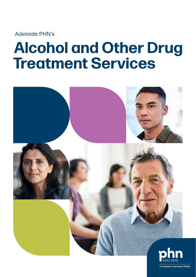Adelaide PHN's

# **Alcohol and Other Drug Treatment Services**

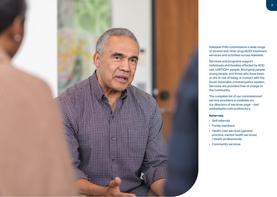

Adelaide PHN commissions a wide range of alcohol and other drug (AOD) treatment services and activities across Adelaide.

Services and programs support individuals and families affected by AOD use, LGBTIQA+ people, Aboriginal people, young people, and those who have been, or are at risk of being, in contact with the South Australian criminal justice system. Services are provided free of charge to the community.

The complete list of our commissioned service providers is available via our directory of services page – visit [adelaidephn.com.au/directory](http://adelaidephn.com.au/directory).

### **Referrals:**

- Self-referrals
- Family members
- Health care services (general practice, mental health services) / health professionals
- Community services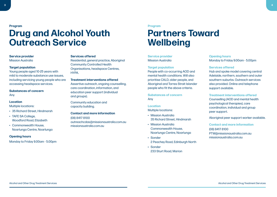**Program**

# **Drug and Alcohol Youth Outreach Service**

### **Service provider** Mission Australia

### **Target population**

Young people aged 10-25 years with mild to moderate substance use issues, including servicing young people who are accessing headspace services.

**Substances of concern**  Any

### **Location**

Multiple locations:

- 35 Richard Street, Hindmarsh
- TAFE SA College, Woodford Road, Elizabeth
- Commonwealth House, Noarlunga Centre, Noarlunga

### **Opening hours**

Monday to Friday 9.00am - 5.00pm

### **Services offered**

Residential, general practice, Aboriginal Community Controlled Health Organisations, headspace Centres, HYPA.

### **Treatment interventions offered**

Assertive outreach, ongoing counselling, care coordination, information, and education peer support (individual and groups).

Community education and capacity building.

**Contact and more information** (08) 8417 8100 [outreachcdas@missionaustralia.com.au](mailto:outreachcdas%40missionaustralia.com.au?subject=) [missionaustralia.com.au](http://missionaustralia.com.au)

#### **Program**

# **Partners Toward Wellbeing**

### **Service provider** Mission Australia

### **Target population**

People with co-occurring AOD and mental health conditions. Will also prioritise CALD, older people, and Aboriginal and Torres Strait Islander people who fit the above criteria.

**Substances of concern**  Any

### **Location**

Multiple locations:

- Mission Australia 35 Richard Street, Hindmarsh
- Mission Australia Commonwealth House, Noarlunga Centre, Noarlunga
- Sonder 2 Peachey Road, Edinburgh North
- Sonder 233 Sturt Road, Marion

**Opening hours**  Monday to Friday 9.00am - 5.00pm

### **Services offered**

Hub and spoke model covering central Adelaide, northern, southern and outer southern suburbs. Outreach services also provided. Online and telephone support available.

**Treatment interventions offered** 

Counselling (AOD and mental health psychological therapies), care coordination, individual and group peer support.

Aboriginal peer support worker available.

**Contact and more information** (08) 8417 8100 [PTW@missionaustralia.com.au](mailto:PTW%40missionaustralia.com.au?subject=)  [missionaustralia.com.au](http://missionaustralia.com.au)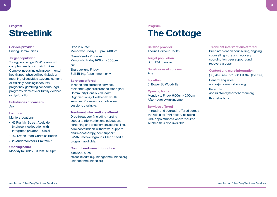### **Program Streetlink**

### **Service provider** Uniting Communities

### **Target population**

Young people aged 10-25 years with complex needs and their families. Complex needs including poor mental health, poor physical health, lack of meaningful activities e.g., employment or training; housing insecurity, pregnancy, gambling concerns, legal programs, domestic or family violence or dysfunction.

### **Substances of concern**  Any

### **Location** Multiple locations:

- 43 Franklin Street, Adelaide (main service location with integrated private GP clinic)
- 107 Dyson Road, Christies Beach
- 26 Anderson Walk, Smithfield

### **Opening hours**  Monday to Friday 9.00am - 5.00pm

Drop in nurse: Monday to Friday 1.00pm - 4.00pm Clean Needle Program: Monday to Friday 9.00am - 5.00pm GP:

Thursday and Friday. Bulk Billing. Appointment only.

### **Services offered**

In-reach and outreach services, residential, general practice, Aboriginal Community Controlled Health Organisations, allied health, youth services. Phone and virtual online sessions available.

**Treatment interventions offered**  Drop-in support (including nursing support), information and education, screening and assessment, counselling, care coordination, withdrawal support, pharmacotherapy, peer support, SMART recovery groups. Clean needle program available.

**Contact and more information** (08) 8202 5950 [streetlinkadmin@unitingcommunities.org](mailto:streetlinkadmin%40unitingcommunities.org?subject=)  [unitingcommunities.org](http://unitingcommunities.org) 

### **Program**

# **The Cottage**

**Service provider** Thorne Harbour Health

**Target population** LGBTIQA+ people

**Substances of concern**  Any

**Location** 51 Bower St, Woodville

**Opening hours**  Monday to Friday 9.00am - 5.00pm Afterhours by arrangement

### **Services offered**

In-reach and outreach offered across the Adelaide PHN region, including CBD appointments where required. Telehealth is also available.

**Treatment interventions offered**  Brief intervention counselling, ongoing counselling, care and recovery coordination, peer support and recovery groups.

**Contact and more information** (08) 7078 4128 or 1800 134 840 (toll free) General enquiries: [aodsa@thorneharbour.org](mailto:aodsa%40thorneharbour.org?subject=) Referrals: [aodsaintake@thorneharbour.org](mailto:aodsaintake%40thorneharbour.org?subject=)  [thorneharbour.org](http://thorneharbour.org)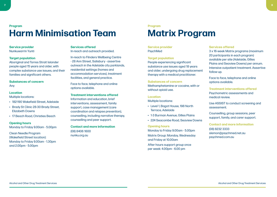### **Program Harm Minimisation Team**

### **Service provider** Nunkuwarrin Yunti

### **Target population**

Aboriginal and Torres Strait Islander people aged 15 years and older, with complex substance use issues, and their families and significant others.

### **Substances of concern**

Any

### **Location**

Multiple locations:

- 182-190 Wakefield Street, Adelaide
- Brady St Clinic 28-30 Brady Street, Elizabeth Downs
- 17 Beach Road, Christies Beach

### **Opening hours**

Monday to Friday 9.00am - 5.00pm

Clean Needle Program (Wakefield Street location): Monday to Friday 9.00am - 1.30pm and 2.00pm - 5.00pm

### **Services offered**

In-reach and outreach provided.

In-reach to Flinders Wellbeing Centre - 28 Ann Street, Salisbury - assertive outreach in the Adelaide city parklands, residential settings (homes and accommodation services), treatment facilities, and general practice.

Face to face, telephone and online options available.

**Treatment interventions offered**  Information and education, brief interventions, assessment, family support, case management (care coordination and relapse prevention), counselling, including narrative therapy, counselling and peer support.

**Contact and more information** (08) 8406 1600 [nunku.org.au](http://nunku.org.au) 

### **Program**

# **Matrix Program**

### **Service provider** PsychMed

### **Target population**

People experiencing significant substance use issues aged 18 years and older, undergoing drug replacement therapy with a medical practitioner.

### **Substances of concern**

Methamphetamine or cocaine, with or without opioid use.

### **Location**

Multiple locations:

- Level 1, Bagot House, 198 North Terrace, Adelaide
- 1-3 Burman Avenue, Gilles Plains
- 224 Seacombe Road, Seaview Downs

### **Opening hours**

Monday to Friday 9.00am - 5.00pm Matrix Group: Monday, Wednesday and Friday at 10.00am

After hours support group once per week: 4.00pm - 6.00 pm

### **Services offered**

3 x 16-week Matrix programs (maximum 20 participants in each program) available per site (Adelaide, Gilles Plains and Seaview Downs) per annum. Intensive outpatient treatment. Assertive follow-up.

Face to face, telephone and online options available.

**Treatment interventions offered**  Psychometric assessments and medical review.

Use ASSIST to conduct screening and assessment.

Counselling, group sessions, peer support, family, and carer support.

**Contact and more information** (08) 8232 3333 [slemon@psychmed.net.au](mailto:slemon%40psychmed.net.au?subject=) [psychmed.com.au](http://psychmed.com.au)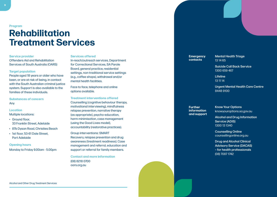#### **Program**

## **Rehabilitation Treatment Services**

### **Service provider**

Offenders Aid and Rehabilitation Services of South Australia (OARS)

### **Target population**

People aged 18 years or older who have been, or are at risk of being, in contact with the South Australian criminal justice system. Support is also available to the families of these individuals.

**Substances of concern** Any

### **Location**

Multiple locations:

- Ground floor, 33 Franklin Street, Adelaide
- 87b Dyson Road, Christies Beach
- 1st floor, 53-61 Dale Street, Port Adelaide

**Opening hours** 

Monday to Friday 9.00am - 5.00pm

### **Services offered**

In-reach/outreach services, Department for Correctional Services, SA Parole Board, general practice, residential settings, non-traditional service settings (e.g., coffee shops), withdrawal and/or mental health facilities.

Face to face, telephone and online options available.

**Treatment interventions offered**  Counselling (cognitive behaviour therapy, motivational interviewing), mindfulness relapse prevention, narrative therapy (as appropriate), psycho-education, harm minimisation, case management (using the Good Lives model), accountability (restorative practices).

Group interventions: SMART Recovery, relapse prevention and drug awareness (treatment readiness). Case management and referral, education and support or referral for family members.

**Contact and more information** (08) 8218 0700 [oars.org.au](http://oars.org.au)

**Emergency contacts**

Mental Health Triage 13 14 65

Suicide Call Back Service 1300 659 467

Lifeline 13 11 14

Urgent Mental Health Care Centre 8448 9100

**Further information and support**  Know Your Options [knowyouroptions.sa.gov.au](http://knowyouroptions.sa.gov.au)

Alcohol and Drug Information Service (ADIS) 1300 13 1340

Counselling Online [counsellingonline.org.au](http://counsellingonline.org.au)

Drug and Alcohol Clinical Advisory Service (DACAS) – for health professionals (08) 7087 1742

Alcohol and Other Drug Treatment Services